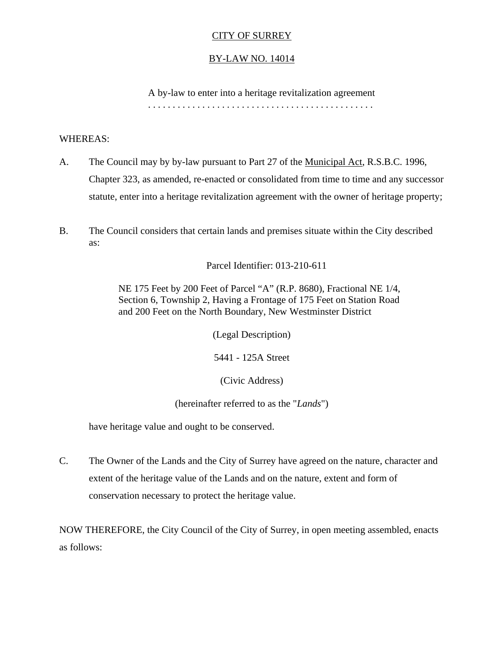## CITY OF SURREY

## BY-LAW NO. 14014

 A by-law to enter into a heritage revitalization agreement . . . . . . . . . . . . . . . . . . . . . . . . . . . . . . . . . . . . . . . . . . . . . .

#### WHEREAS:

- A. The Council may by by-law pursuant to Part 27 of the Municipal Act, R.S.B.C. 1996, Chapter 323, as amended, re-enacted or consolidated from time to time and any successor statute, enter into a heritage revitalization agreement with the owner of heritage property;
- B. The Council considers that certain lands and premises situate within the City described as:

Parcel Identifier: 013-210-611

NE 175 Feet by 200 Feet of Parcel "A" (R.P. 8680), Fractional NE 1/4, Section 6, Township 2, Having a Frontage of 175 Feet on Station Road and 200 Feet on the North Boundary, New Westminster District

(Legal Description)

5441 - 125A Street

(Civic Address)

(hereinafter referred to as the "*Lands*")

have heritage value and ought to be conserved.

C. The Owner of the Lands and the City of Surrey have agreed on the nature, character and extent of the heritage value of the Lands and on the nature, extent and form of conservation necessary to protect the heritage value.

NOW THEREFORE, the City Council of the City of Surrey, in open meeting assembled, enacts as follows: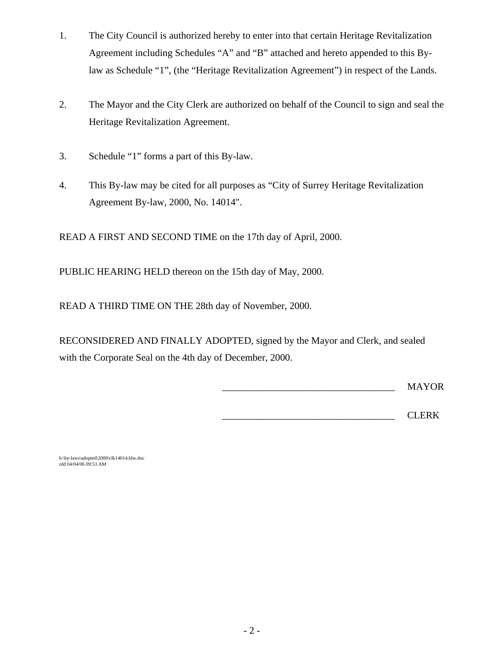- 1. The City Council is authorized hereby to enter into that certain Heritage Revitalization Agreement including Schedules "A" and "B" attached and hereto appended to this Bylaw as Schedule "1", (the "Heritage Revitalization Agreement") in respect of the Lands.
- 2. The Mayor and the City Clerk are authorized on behalf of the Council to sign and seal the Heritage Revitalization Agreement.
- 3. Schedule "1" forms a part of this By-law.
- 4. This By-law may be cited for all purposes as "City of Surrey Heritage Revitalization Agreement By-law, 2000, No. 14014".

READ A FIRST AND SECOND TIME on the 17th day of April, 2000.

PUBLIC HEARING HELD thereon on the 15th day of May, 2000.

READ A THIRD TIME ON THE 28th day of November, 2000.

RECONSIDERED AND FINALLY ADOPTED, signed by the Mayor and Clerk, and sealed with the Corporate Seal on the 4th day of December, 2000.

\_\_\_\_\_\_\_\_\_\_\_\_\_\_\_\_\_\_\_\_\_\_\_\_\_\_\_\_\_\_\_\_\_\_\_ MAYOR

 $\overline{\phantom{a}}$  CLERK

h:\by-laws\adopted\2000\clk14014.blw.doc rdd 04/04/06 09:53 AM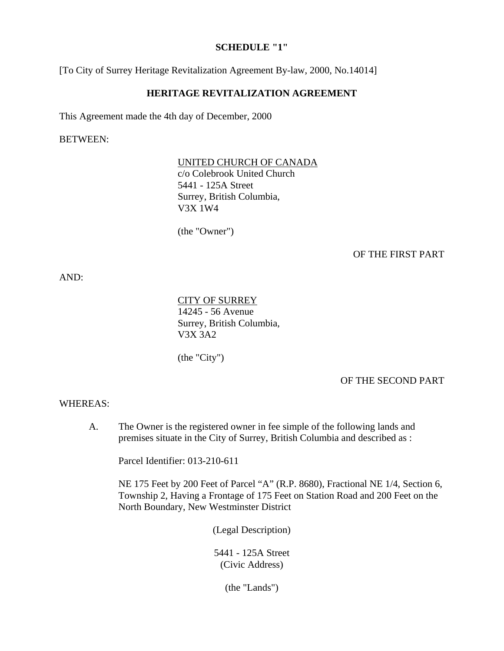#### **SCHEDULE "1"**

[To City of Surrey Heritage Revitalization Agreement By-law, 2000, No.14014]

## **HERITAGE REVITALIZATION AGREEMENT**

This Agreement made the 4th day of December, 2000

BETWEEN:

#### UNITED CHURCH OF CANADA

c/o Colebrook United Church 5441 - 125A Street Surrey, British Columbia, V3X 1W4

(the "Owner")

#### OF THE FIRST PART

AND:

CITY OF SURREY 14245 - 56 Avenue Surrey, British Columbia, V3X 3A2

(the "City")

OF THE SECOND PART

#### WHEREAS:

A. The Owner is the registered owner in fee simple of the following lands and premises situate in the City of Surrey, British Columbia and described as :

Parcel Identifier: 013-210-611

 NE 175 Feet by 200 Feet of Parcel "A" (R.P. 8680), Fractional NE 1/4, Section 6, Township 2, Having a Frontage of 175 Feet on Station Road and 200 Feet on the North Boundary, New Westminster District

(Legal Description)

5441 - 125A Street (Civic Address)

(the "Lands")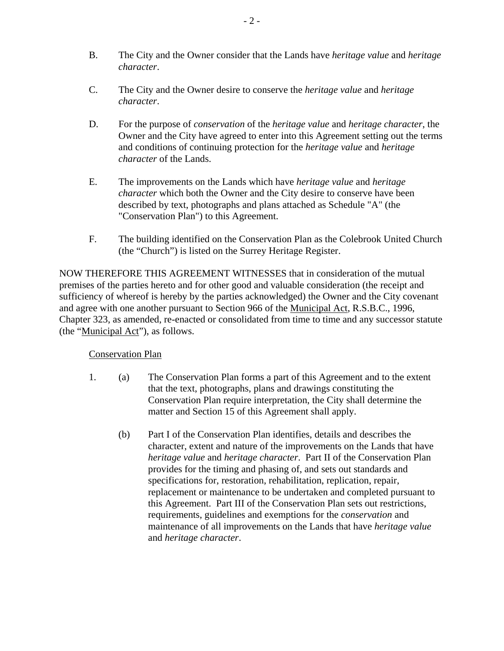- B. The City and the Owner consider that the Lands have *heritage value* and *heritage character*.
- C. The City and the Owner desire to conserve the *heritage value* and *heritage character*.
- D. For the purpose of *conservation* of the *heritage value* and *heritage character*, the Owner and the City have agreed to enter into this Agreement setting out the terms and conditions of continuing protection for the *heritage value* and *heritage character* of the Lands.
- E. The improvements on the Lands which have *heritage value* and *heritage character* which both the Owner and the City desire to conserve have been described by text, photographs and plans attached as Schedule "A" (the "Conservation Plan") to this Agreement.
- F. The building identified on the Conservation Plan as the Colebrook United Church (the "Church") is listed on the Surrey Heritage Register.

NOW THEREFORE THIS AGREEMENT WITNESSES that in consideration of the mutual premises of the parties hereto and for other good and valuable consideration (the receipt and sufficiency of whereof is hereby by the parties acknowledged) the Owner and the City covenant and agree with one another pursuant to Section 966 of the Municipal Act, R.S.B.C., 1996, Chapter 323, as amended, re-enacted or consolidated from time to time and any successor statute (the "Municipal Act"), as follows.

# Conservation Plan

- 1. (a) The Conservation Plan forms a part of this Agreement and to the extent that the text, photographs, plans and drawings constituting the Conservation Plan require interpretation, the City shall determine the matter and Section 15 of this Agreement shall apply.
	- (b) Part I of the Conservation Plan identifies, details and describes the character, extent and nature of the improvements on the Lands that have *heritage value* and *heritage character*. Part II of the Conservation Plan provides for the timing and phasing of, and sets out standards and specifications for, restoration, rehabilitation, replication, repair, replacement or maintenance to be undertaken and completed pursuant to this Agreement. Part III of the Conservation Plan sets out restrictions, requirements, guidelines and exemptions for the *conservation* and maintenance of all improvements on the Lands that have *heritage value* and *heritage character*.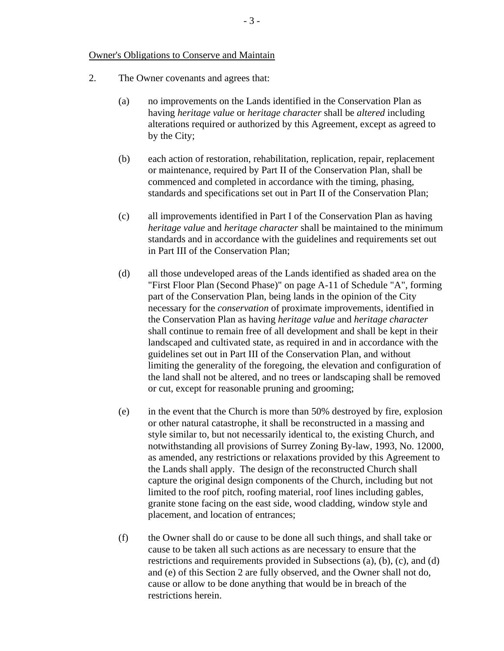#### Owner's Obligations to Conserve and Maintain

- 2. The Owner covenants and agrees that:
	- (a) no improvements on the Lands identified in the Conservation Plan as having *heritage value* or *heritage character* shall be *altered* including alterations required or authorized by this Agreement, except as agreed to by the City;
	- (b) each action of restoration, rehabilitation, replication, repair, replacement or maintenance, required by Part II of the Conservation Plan, shall be commenced and completed in accordance with the timing, phasing, standards and specifications set out in Part II of the Conservation Plan;
	- (c) all improvements identified in Part I of the Conservation Plan as having *heritage value* and *heritage character* shall be maintained to the minimum standards and in accordance with the guidelines and requirements set out in Part III of the Conservation Plan;
	- (d) all those undeveloped areas of the Lands identified as shaded area on the "First Floor Plan (Second Phase)" on page A-11 of Schedule "A", forming part of the Conservation Plan, being lands in the opinion of the City necessary for the *conservation* of proximate improvements, identified in the Conservation Plan as having *heritage value* and *heritage character* shall continue to remain free of all development and shall be kept in their landscaped and cultivated state, as required in and in accordance with the guidelines set out in Part III of the Conservation Plan, and without limiting the generality of the foregoing, the elevation and configuration of the land shall not be altered, and no trees or landscaping shall be removed or cut, except for reasonable pruning and grooming;
	- (e) in the event that the Church is more than 50% destroyed by fire, explosion or other natural catastrophe, it shall be reconstructed in a massing and style similar to, but not necessarily identical to, the existing Church, and notwithstanding all provisions of Surrey Zoning By-law, 1993, No. 12000, as amended, any restrictions or relaxations provided by this Agreement to the Lands shall apply. The design of the reconstructed Church shall capture the original design components of the Church, including but not limited to the roof pitch, roofing material, roof lines including gables, granite stone facing on the east side, wood cladding, window style and placement, and location of entrances;
	- (f) the Owner shall do or cause to be done all such things, and shall take or cause to be taken all such actions as are necessary to ensure that the restrictions and requirements provided in Subsections (a), (b), (c), and (d) and (e) of this Section 2 are fully observed, and the Owner shall not do, cause or allow to be done anything that would be in breach of the restrictions herein.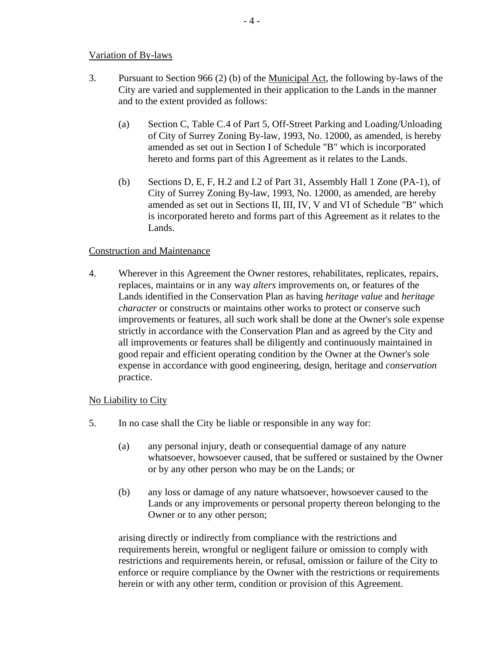## Variation of By-laws

- 3. Pursuant to Section 966 (2) (b) of the Municipal Act, the following by-laws of the City are varied and supplemented in their application to the Lands in the manner and to the extent provided as follows:
	- (a) Section C, Table C.4 of Part 5, Off-Street Parking and Loading/Unloading of City of Surrey Zoning By-law, 1993, No. 12000, as amended, is hereby amended as set out in Section I of Schedule "B" which is incorporated hereto and forms part of this Agreement as it relates to the Lands.
	- (b) Sections D, E, F, H.2 and I.2 of Part 31, Assembly Hall 1 Zone (PA-1), of City of Surrey Zoning By-law, 1993, No. 12000, as amended, are hereby amended as set out in Sections II, III, IV, V and VI of Schedule "B" which is incorporated hereto and forms part of this Agreement as it relates to the Lands.

## Construction and Maintenance

4. Wherever in this Agreement the Owner restores, rehabilitates, replicates, repairs, replaces, maintains or in any way *alters* improvements on, or features of the Lands identified in the Conservation Plan as having *heritage value* and *heritage character* or constructs or maintains other works to protect or conserve such improvements or features, all such work shall be done at the Owner's sole expense strictly in accordance with the Conservation Plan and as agreed by the City and all improvements or features shall be diligently and continuously maintained in good repair and efficient operating condition by the Owner at the Owner's sole expense in accordance with good engineering, design, heritage and *conservation* practice.

# No Liability to City

- 5. In no case shall the City be liable or responsible in any way for:
	- (a) any personal injury, death or consequential damage of any nature whatsoever, howsoever caused, that be suffered or sustained by the Owner or by any other person who may be on the Lands; or
	- (b) any loss or damage of any nature whatsoever, howsoever caused to the Lands or any improvements or personal property thereon belonging to the Owner or to any other person;

arising directly or indirectly from compliance with the restrictions and requirements herein, wrongful or negligent failure or omission to comply with restrictions and requirements herein, or refusal, omission or failure of the City to enforce or require compliance by the Owner with the restrictions or requirements herein or with any other term, condition or provision of this Agreement.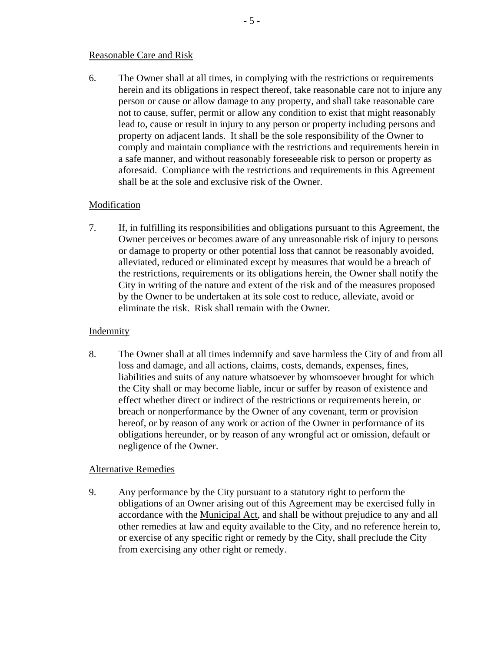#### Reasonable Care and Risk

6. The Owner shall at all times, in complying with the restrictions or requirements herein and its obligations in respect thereof, take reasonable care not to injure any person or cause or allow damage to any property, and shall take reasonable care not to cause, suffer, permit or allow any condition to exist that might reasonably lead to, cause or result in injury to any person or property including persons and property on adjacent lands. It shall be the sole responsibility of the Owner to comply and maintain compliance with the restrictions and requirements herein in a safe manner, and without reasonably foreseeable risk to person or property as aforesaid. Compliance with the restrictions and requirements in this Agreement shall be at the sole and exclusive risk of the Owner.

## Modification

7. If, in fulfilling its responsibilities and obligations pursuant to this Agreement, the Owner perceives or becomes aware of any unreasonable risk of injury to persons or damage to property or other potential loss that cannot be reasonably avoided, alleviated, reduced or eliminated except by measures that would be a breach of the restrictions, requirements or its obligations herein, the Owner shall notify the City in writing of the nature and extent of the risk and of the measures proposed by the Owner to be undertaken at its sole cost to reduce, alleviate, avoid or eliminate the risk. Risk shall remain with the Owner.

## Indemnity

8. The Owner shall at all times indemnify and save harmless the City of and from all loss and damage, and all actions, claims, costs, demands, expenses, fines, liabilities and suits of any nature whatsoever by whomsoever brought for which the City shall or may become liable, incur or suffer by reason of existence and effect whether direct or indirect of the restrictions or requirements herein, or breach or nonperformance by the Owner of any covenant, term or provision hereof, or by reason of any work or action of the Owner in performance of its obligations hereunder, or by reason of any wrongful act or omission, default or negligence of the Owner.

## Alternative Remedies

9. Any performance by the City pursuant to a statutory right to perform the obligations of an Owner arising out of this Agreement may be exercised fully in accordance with the Municipal Act, and shall be without prejudice to any and all other remedies at law and equity available to the City, and no reference herein to, or exercise of any specific right or remedy by the City, shall preclude the City from exercising any other right or remedy.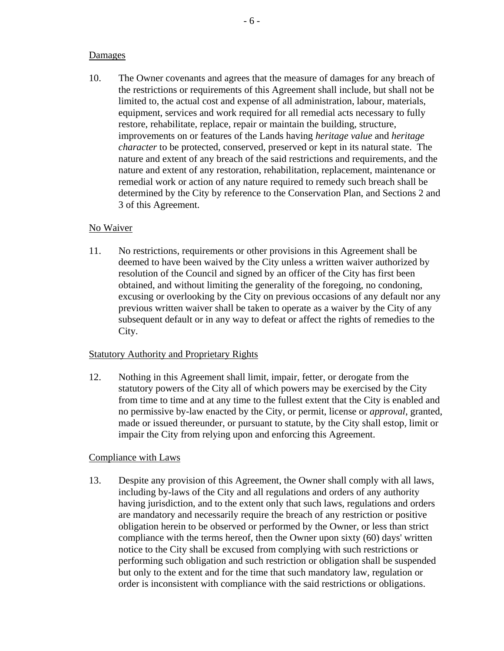#### Damages

10. The Owner covenants and agrees that the measure of damages for any breach of the restrictions or requirements of this Agreement shall include, but shall not be limited to, the actual cost and expense of all administration, labour, materials, equipment, services and work required for all remedial acts necessary to fully restore, rehabilitate, replace, repair or maintain the building, structure, improvements on or features of the Lands having *heritage value* and *heritage character* to be protected, conserved, preserved or kept in its natural state. The nature and extent of any breach of the said restrictions and requirements, and the nature and extent of any restoration, rehabilitation, replacement, maintenance or remedial work or action of any nature required to remedy such breach shall be determined by the City by reference to the Conservation Plan, and Sections 2 and 3 of this Agreement.

## No Waiver

11. No restrictions, requirements or other provisions in this Agreement shall be deemed to have been waived by the City unless a written waiver authorized by resolution of the Council and signed by an officer of the City has first been obtained, and without limiting the generality of the foregoing, no condoning, excusing or overlooking by the City on previous occasions of any default nor any previous written waiver shall be taken to operate as a waiver by the City of any subsequent default or in any way to defeat or affect the rights of remedies to the City.

## Statutory Authority and Proprietary Rights

12. Nothing in this Agreement shall limit, impair, fetter, or derogate from the statutory powers of the City all of which powers may be exercised by the City from time to time and at any time to the fullest extent that the City is enabled and no permissive by-law enacted by the City, or permit, license or *approval*, granted, made or issued thereunder, or pursuant to statute, by the City shall estop, limit or impair the City from relying upon and enforcing this Agreement.

# Compliance with Laws

13. Despite any provision of this Agreement, the Owner shall comply with all laws, including by-laws of the City and all regulations and orders of any authority having jurisdiction, and to the extent only that such laws, regulations and orders are mandatory and necessarily require the breach of any restriction or positive obligation herein to be observed or performed by the Owner, or less than strict compliance with the terms hereof, then the Owner upon sixty (60) days' written notice to the City shall be excused from complying with such restrictions or performing such obligation and such restriction or obligation shall be suspended but only to the extent and for the time that such mandatory law, regulation or order is inconsistent with compliance with the said restrictions or obligations.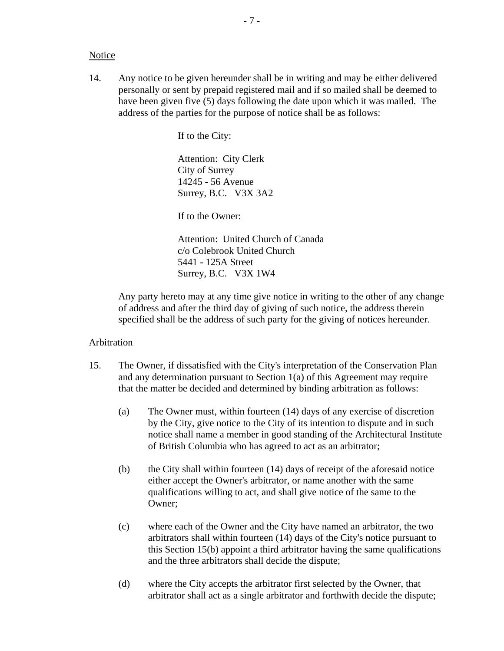#### **Notice**

14. Any notice to be given hereunder shall be in writing and may be either delivered personally or sent by prepaid registered mail and if so mailed shall be deemed to have been given five (5) days following the date upon which it was mailed. The address of the parties for the purpose of notice shall be as follows:

If to the City:

Attention: City Clerk City of Surrey 14245 - 56 Avenue Surrey, B.C. V3X 3A2

If to the Owner:

Attention: United Church of Canada c/o Colebrook United Church 5441 - 125A Street Surrey, B.C. V3X 1W4

 Any party hereto may at any time give notice in writing to the other of any change of address and after the third day of giving of such notice, the address therein specified shall be the address of such party for the giving of notices hereunder.

#### Arbitration

- 15. The Owner, if dissatisfied with the City's interpretation of the Conservation Plan and any determination pursuant to Section 1(a) of this Agreement may require that the matter be decided and determined by binding arbitration as follows:
	- (a) The Owner must, within fourteen (14) days of any exercise of discretion by the City, give notice to the City of its intention to dispute and in such notice shall name a member in good standing of the Architectural Institute of British Columbia who has agreed to act as an arbitrator;
	- (b) the City shall within fourteen (14) days of receipt of the aforesaid notice either accept the Owner's arbitrator, or name another with the same qualifications willing to act, and shall give notice of the same to the Owner;
	- (c) where each of the Owner and the City have named an arbitrator, the two arbitrators shall within fourteen (14) days of the City's notice pursuant to this Section 15(b) appoint a third arbitrator having the same qualifications and the three arbitrators shall decide the dispute;
	- (d) where the City accepts the arbitrator first selected by the Owner, that arbitrator shall act as a single arbitrator and forthwith decide the dispute;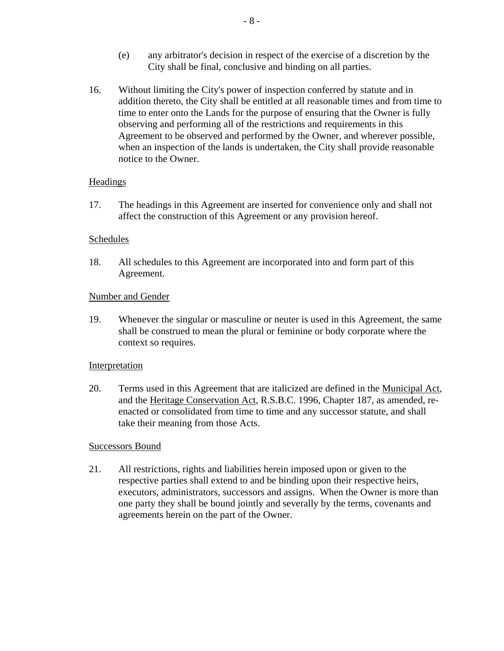- (e) any arbitrator's decision in respect of the exercise of a discretion by the City shall be final, conclusive and binding on all parties.
- 16. Without limiting the City's power of inspection conferred by statute and in addition thereto, the City shall be entitled at all reasonable times and from time to time to enter onto the Lands for the purpose of ensuring that the Owner is fully observing and performing all of the restrictions and requirements in this Agreement to be observed and performed by the Owner, and wherever possible, when an inspection of the lands is undertaken, the City shall provide reasonable notice to the Owner.

## Headings

17. The headings in this Agreement are inserted for convenience only and shall not affect the construction of this Agreement or any provision hereof.

#### Schedules

18. All schedules to this Agreement are incorporated into and form part of this Agreement.

#### Number and Gender

19. Whenever the singular or masculine or neuter is used in this Agreement, the same shall be construed to mean the plural or feminine or body corporate where the context so requires.

#### Interpretation

20. Terms used in this Agreement that are italicized are defined in the Municipal Act, and the Heritage Conservation Act, R.S.B.C. 1996, Chapter 187, as amended, reenacted or consolidated from time to time and any successor statute, and shall take their meaning from those Acts.

## Successors Bound

21. All restrictions, rights and liabilities herein imposed upon or given to the respective parties shall extend to and be binding upon their respective heirs, executors, administrators, successors and assigns. When the Owner is more than one party they shall be bound jointly and severally by the terms, covenants and agreements herein on the part of the Owner.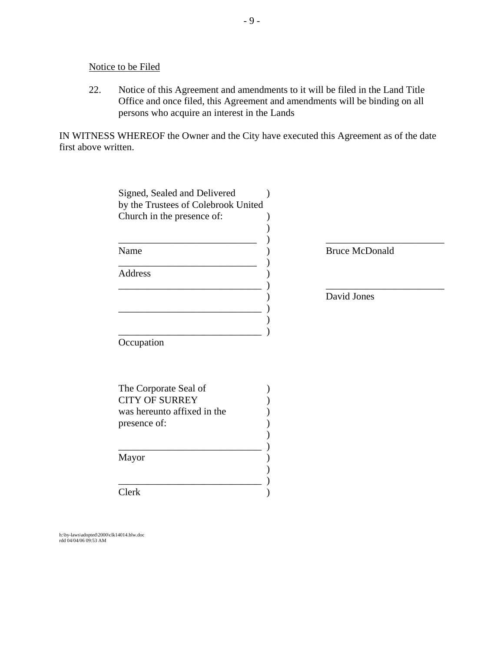Notice to be Filed

22. Notice of this Agreement and amendments to it will be filed in the Land Title Office and once filed, this Agreement and amendments will be binding on all persons who acquire an interest in the Lands

IN WITNESS WHEREOF the Owner and the City have executed this Agreement as of the date first above written.

| Church in the presence of:<br>Name<br><b>Bruce McDonald</b><br><b>Address</b><br>David Jones<br>Occupation<br>The Corporate Seal of<br><b>CITY OF SURREY</b><br>was hereunto affixed in the<br>presence of: | Signed, Sealed and Delivered<br>by the Trustees of Colebrook United |  |
|-------------------------------------------------------------------------------------------------------------------------------------------------------------------------------------------------------------|---------------------------------------------------------------------|--|
|                                                                                                                                                                                                             |                                                                     |  |
|                                                                                                                                                                                                             |                                                                     |  |
|                                                                                                                                                                                                             |                                                                     |  |
|                                                                                                                                                                                                             |                                                                     |  |
|                                                                                                                                                                                                             |                                                                     |  |
|                                                                                                                                                                                                             |                                                                     |  |
|                                                                                                                                                                                                             |                                                                     |  |
|                                                                                                                                                                                                             |                                                                     |  |
|                                                                                                                                                                                                             |                                                                     |  |
|                                                                                                                                                                                                             |                                                                     |  |
|                                                                                                                                                                                                             |                                                                     |  |
|                                                                                                                                                                                                             |                                                                     |  |
|                                                                                                                                                                                                             |                                                                     |  |
|                                                                                                                                                                                                             |                                                                     |  |
|                                                                                                                                                                                                             |                                                                     |  |
|                                                                                                                                                                                                             |                                                                     |  |
|                                                                                                                                                                                                             |                                                                     |  |
|                                                                                                                                                                                                             |                                                                     |  |
|                                                                                                                                                                                                             |                                                                     |  |
|                                                                                                                                                                                                             |                                                                     |  |
| Mayor                                                                                                                                                                                                       |                                                                     |  |
|                                                                                                                                                                                                             |                                                                     |  |
|                                                                                                                                                                                                             |                                                                     |  |
| Clerk                                                                                                                                                                                                       |                                                                     |  |

h:\by-laws\adopted\2000\clk14014.blw.doc rdd 04/04/06 09:53 AM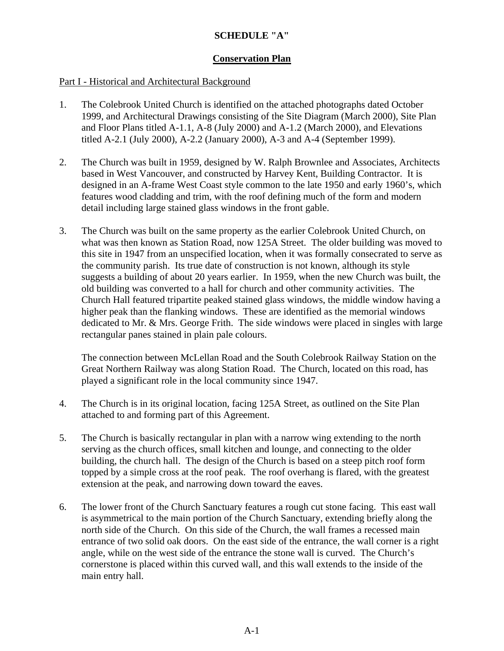# **SCHEDULE "A"**

# **Conservation Plan**

## Part I - Historical and Architectural Background

- 1. The Colebrook United Church is identified on the attached photographs dated October 1999, and Architectural Drawings consisting of the Site Diagram (March 2000), Site Plan and Floor Plans titled A-1.1, A-8 (July 2000) and A-1.2 (March 2000), and Elevations titled A-2.1 (July 2000), A-2.2 (January 2000), A-3 and A-4 (September 1999).
- 2. The Church was built in 1959, designed by W. Ralph Brownlee and Associates, Architects based in West Vancouver, and constructed by Harvey Kent, Building Contractor. It is designed in an A-frame West Coast style common to the late 1950 and early 1960's, which features wood cladding and trim, with the roof defining much of the form and modern detail including large stained glass windows in the front gable.
- 3. The Church was built on the same property as the earlier Colebrook United Church, on what was then known as Station Road, now 125A Street. The older building was moved to this site in 1947 from an unspecified location, when it was formally consecrated to serve as the community parish. Its true date of construction is not known, although its style suggests a building of about 20 years earlier. In 1959, when the new Church was built, the old building was converted to a hall for church and other community activities. The Church Hall featured tripartite peaked stained glass windows, the middle window having a higher peak than the flanking windows. These are identified as the memorial windows dedicated to Mr. & Mrs. George Frith. The side windows were placed in singles with large rectangular panes stained in plain pale colours.

The connection between McLellan Road and the South Colebrook Railway Station on the Great Northern Railway was along Station Road. The Church, located on this road, has played a significant role in the local community since 1947.

- 4. The Church is in its original location, facing 125A Street, as outlined on the Site Plan attached to and forming part of this Agreement.
- 5. The Church is basically rectangular in plan with a narrow wing extending to the north serving as the church offices, small kitchen and lounge, and connecting to the older building, the church hall. The design of the Church is based on a steep pitch roof form topped by a simple cross at the roof peak. The roof overhang is flared, with the greatest extension at the peak, and narrowing down toward the eaves.
- 6. The lower front of the Church Sanctuary features a rough cut stone facing. This east wall is asymmetrical to the main portion of the Church Sanctuary, extending briefly along the north side of the Church. On this side of the Church, the wall frames a recessed main entrance of two solid oak doors. On the east side of the entrance, the wall corner is a right angle, while on the west side of the entrance the stone wall is curved. The Church's cornerstone is placed within this curved wall, and this wall extends to the inside of the main entry hall.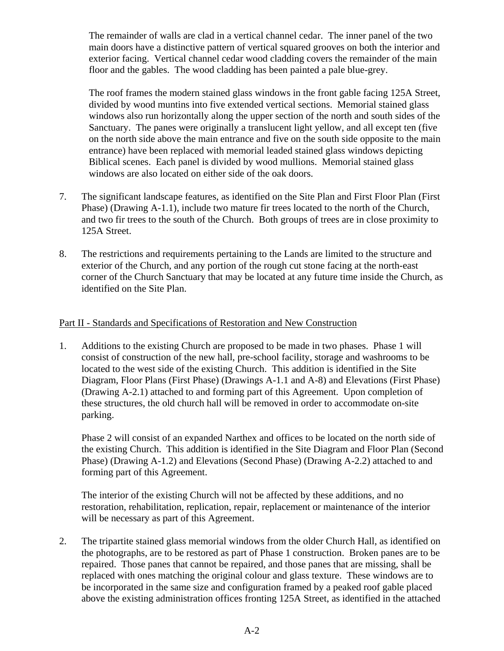The remainder of walls are clad in a vertical channel cedar. The inner panel of the two main doors have a distinctive pattern of vertical squared grooves on both the interior and exterior facing. Vertical channel cedar wood cladding covers the remainder of the main floor and the gables. The wood cladding has been painted a pale blue-grey.

The roof frames the modern stained glass windows in the front gable facing 125A Street, divided by wood muntins into five extended vertical sections. Memorial stained glass windows also run horizontally along the upper section of the north and south sides of the Sanctuary. The panes were originally a translucent light yellow, and all except ten (five on the north side above the main entrance and five on the south side opposite to the main entrance) have been replaced with memorial leaded stained glass windows depicting Biblical scenes. Each panel is divided by wood mullions. Memorial stained glass windows are also located on either side of the oak doors.

- 7. The significant landscape features, as identified on the Site Plan and First Floor Plan (First Phase) (Drawing A-1.1), include two mature fir trees located to the north of the Church, and two fir trees to the south of the Church. Both groups of trees are in close proximity to 125A Street.
- 8. The restrictions and requirements pertaining to the Lands are limited to the structure and exterior of the Church, and any portion of the rough cut stone facing at the north-east corner of the Church Sanctuary that may be located at any future time inside the Church, as identified on the Site Plan.

## Part II - Standards and Specifications of Restoration and New Construction

1. Additions to the existing Church are proposed to be made in two phases. Phase 1 will consist of construction of the new hall, pre-school facility, storage and washrooms to be located to the west side of the existing Church. This addition is identified in the Site Diagram, Floor Plans (First Phase) (Drawings A-1.1 and A-8) and Elevations (First Phase) (Drawing A-2.1) attached to and forming part of this Agreement. Upon completion of these structures, the old church hall will be removed in order to accommodate on-site parking.

Phase 2 will consist of an expanded Narthex and offices to be located on the north side of the existing Church. This addition is identified in the Site Diagram and Floor Plan (Second Phase) (Drawing A-1.2) and Elevations (Second Phase) (Drawing A-2.2) attached to and forming part of this Agreement.

The interior of the existing Church will not be affected by these additions, and no restoration, rehabilitation, replication, repair, replacement or maintenance of the interior will be necessary as part of this Agreement.

2. The tripartite stained glass memorial windows from the older Church Hall, as identified on the photographs, are to be restored as part of Phase 1 construction. Broken panes are to be repaired. Those panes that cannot be repaired, and those panes that are missing, shall be replaced with ones matching the original colour and glass texture. These windows are to be incorporated in the same size and configuration framed by a peaked roof gable placed above the existing administration offices fronting 125A Street, as identified in the attached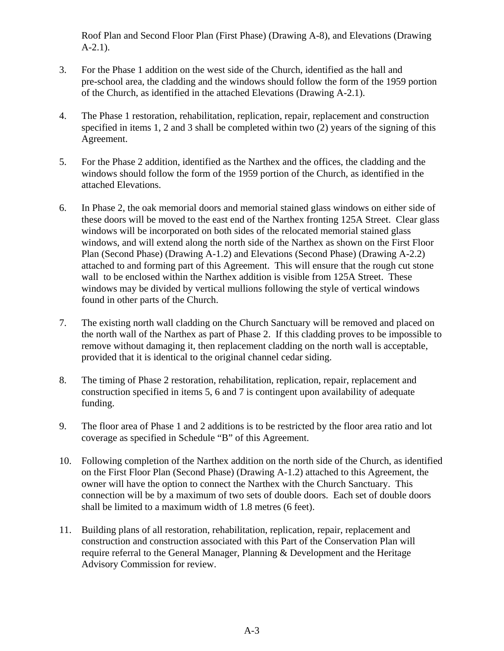Roof Plan and Second Floor Plan (First Phase) (Drawing A-8), and Elevations (Drawing A-2.1).

- 3. For the Phase 1 addition on the west side of the Church, identified as the hall and pre-school area, the cladding and the windows should follow the form of the 1959 portion of the Church, as identified in the attached Elevations (Drawing A-2.1).
- 4. The Phase 1 restoration, rehabilitation, replication, repair, replacement and construction specified in items 1, 2 and 3 shall be completed within two (2) years of the signing of this Agreement.
- 5. For the Phase 2 addition, identified as the Narthex and the offices, the cladding and the windows should follow the form of the 1959 portion of the Church, as identified in the attached Elevations.
- 6. In Phase 2, the oak memorial doors and memorial stained glass windows on either side of these doors will be moved to the east end of the Narthex fronting 125A Street. Clear glass windows will be incorporated on both sides of the relocated memorial stained glass windows, and will extend along the north side of the Narthex as shown on the First Floor Plan (Second Phase) (Drawing A-1.2) and Elevations (Second Phase) (Drawing A-2.2) attached to and forming part of this Agreement. This will ensure that the rough cut stone wall to be enclosed within the Narthex addition is visible from 125A Street. These windows may be divided by vertical mullions following the style of vertical windows found in other parts of the Church.
- 7. The existing north wall cladding on the Church Sanctuary will be removed and placed on the north wall of the Narthex as part of Phase 2. If this cladding proves to be impossible to remove without damaging it, then replacement cladding on the north wall is acceptable, provided that it is identical to the original channel cedar siding.
- 8. The timing of Phase 2 restoration, rehabilitation, replication, repair, replacement and construction specified in items 5, 6 and 7 is contingent upon availability of adequate funding.
- 9. The floor area of Phase 1 and 2 additions is to be restricted by the floor area ratio and lot coverage as specified in Schedule "B" of this Agreement.
- 10. Following completion of the Narthex addition on the north side of the Church, as identified on the First Floor Plan (Second Phase) (Drawing A-1.2) attached to this Agreement, the owner will have the option to connect the Narthex with the Church Sanctuary. This connection will be by a maximum of two sets of double doors. Each set of double doors shall be limited to a maximum width of 1.8 metres (6 feet).
- 11. Building plans of all restoration, rehabilitation, replication, repair, replacement and construction and construction associated with this Part of the Conservation Plan will require referral to the General Manager, Planning & Development and the Heritage Advisory Commission for review.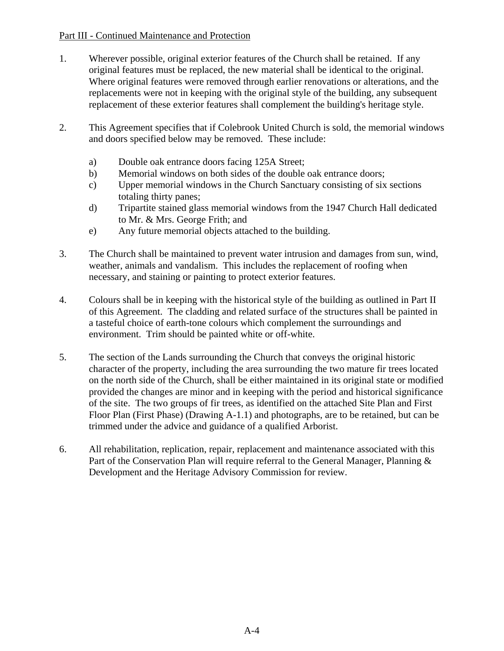# Part III - Continued Maintenance and Protection

- 1. Wherever possible, original exterior features of the Church shall be retained. If any original features must be replaced, the new material shall be identical to the original. Where original features were removed through earlier renovations or alterations, and the replacements were not in keeping with the original style of the building, any subsequent replacement of these exterior features shall complement the building's heritage style.
- 2. This Agreement specifies that if Colebrook United Church is sold, the memorial windows and doors specified below may be removed. These include:
	- a) Double oak entrance doors facing 125A Street;
	- b) Memorial windows on both sides of the double oak entrance doors;
	- c) Upper memorial windows in the Church Sanctuary consisting of six sections totaling thirty panes;
	- d) Tripartite stained glass memorial windows from the 1947 Church Hall dedicated to Mr. & Mrs. George Frith; and
	- e) Any future memorial objects attached to the building.
- 3. The Church shall be maintained to prevent water intrusion and damages from sun, wind, weather, animals and vandalism. This includes the replacement of roofing when necessary, and staining or painting to protect exterior features.
- 4. Colours shall be in keeping with the historical style of the building as outlined in Part II of this Agreement. The cladding and related surface of the structures shall be painted in a tasteful choice of earth-tone colours which complement the surroundings and environment. Trim should be painted white or off-white.
- 5. The section of the Lands surrounding the Church that conveys the original historic character of the property, including the area surrounding the two mature fir trees located on the north side of the Church, shall be either maintained in its original state or modified provided the changes are minor and in keeping with the period and historical significance of the site. The two groups of fir trees, as identified on the attached Site Plan and First Floor Plan (First Phase) (Drawing A-1.1) and photographs, are to be retained, but can be trimmed under the advice and guidance of a qualified Arborist.
- 6. All rehabilitation, replication, repair, replacement and maintenance associated with this Part of the Conservation Plan will require referral to the General Manager, Planning & Development and the Heritage Advisory Commission for review.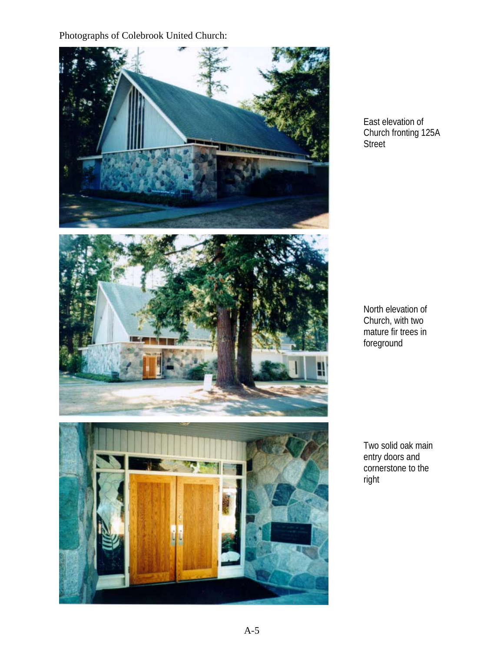# Photographs of Colebrook United Church:



East elevation of Church fronting 125A **Street** 

North elevation of Church, with two mature fir trees in foreground

Two solid oak main entry doors and cornerstone to the right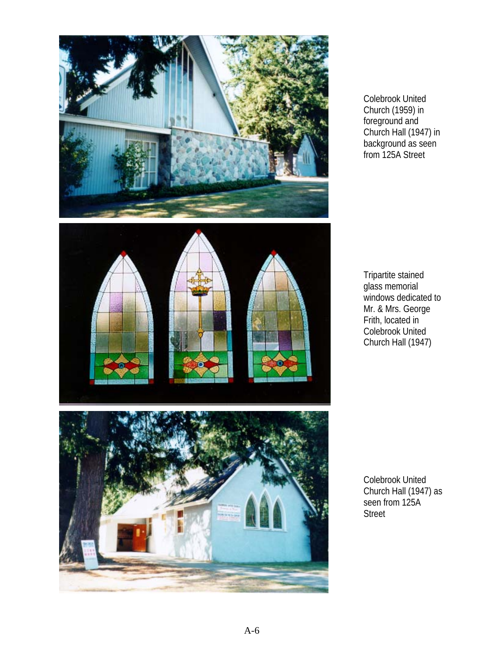

Colebrook United Church (1959) in foreground and Church Hall (1947) in background as seen from 125A Street

Tripartite stained glass memorial windows dedicated to Mr. & Mrs. George Frith, located in Colebrook United Church Hall (1947)

Colebrook United Church Hall (1947) as seen from 125A Street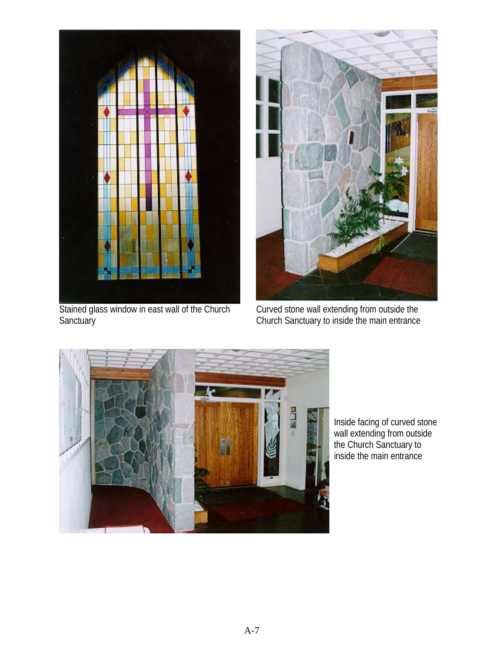

Stained glass window in east wall of the Church **Sanctuary** 



Curved stone wall extending from outside the Church Sanctuary to inside the main entrance



Inside facing of curved stone wall extending from outside the Church Sanctuary to inside the main entrance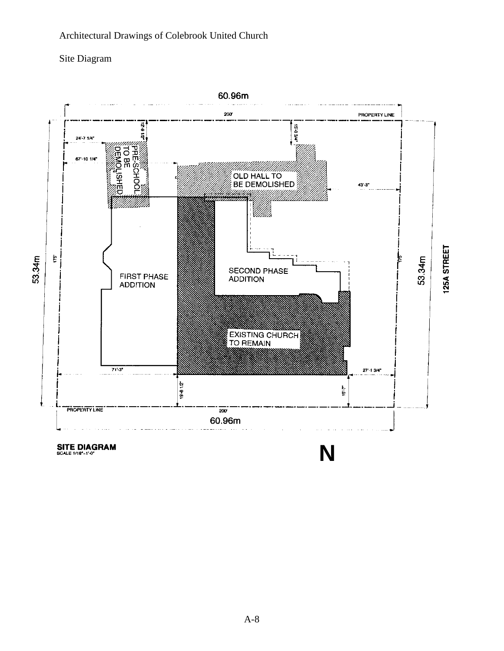# Architectural Drawings of Colebrook United Church

# Site Diagram



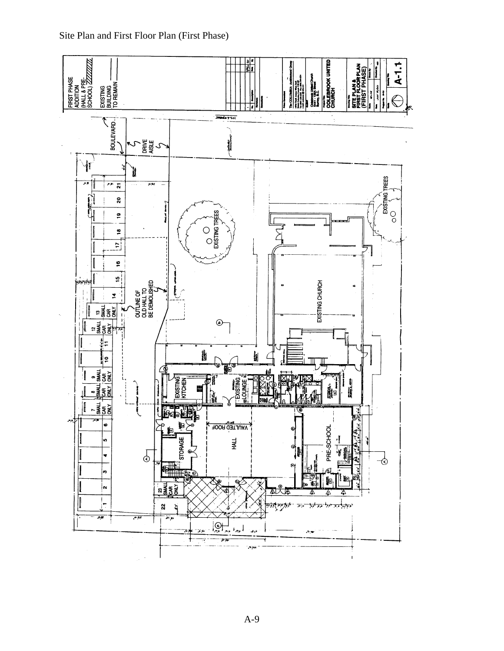

Site Plan and First Floor Plan (First Phase)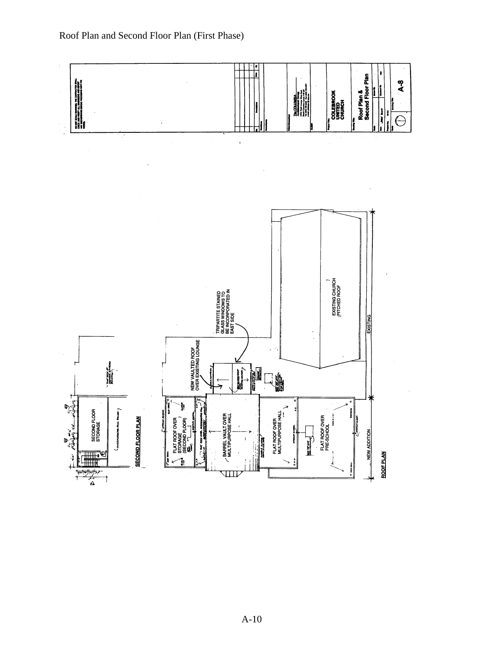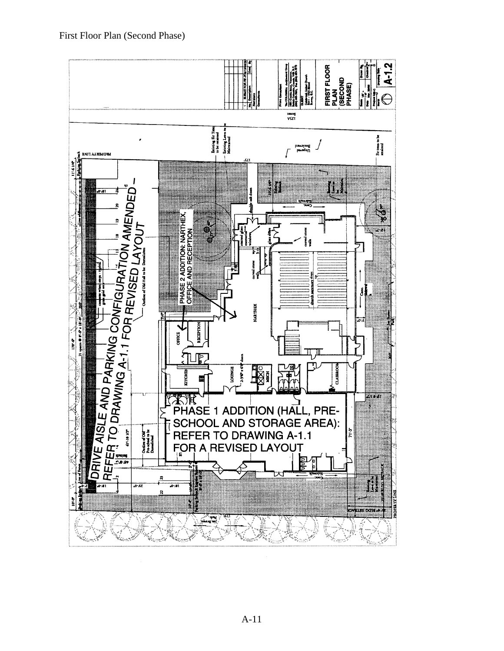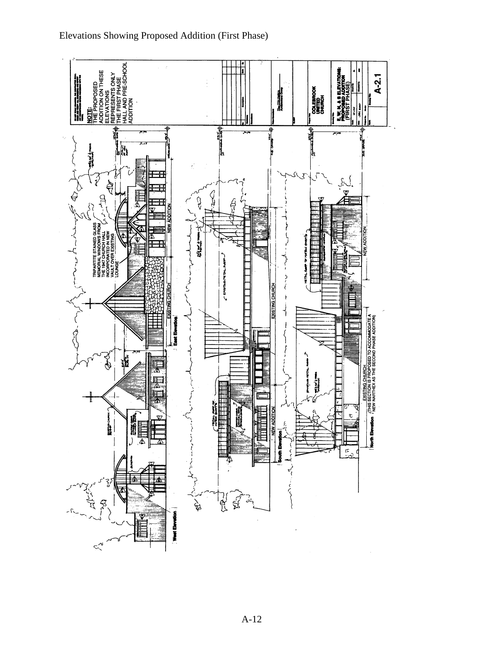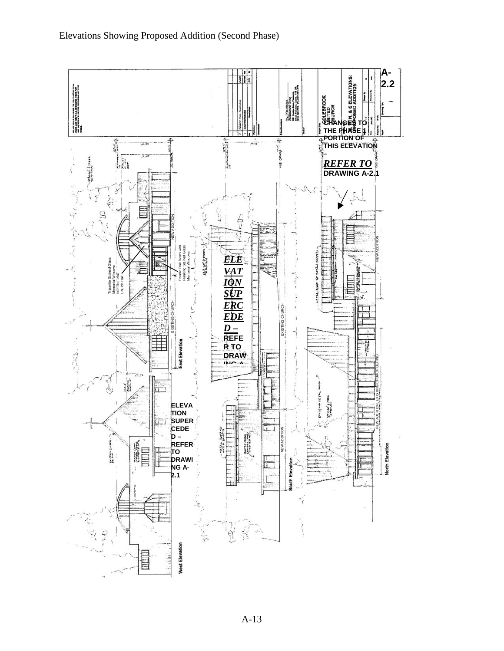Elevations Showing Proposed Addition (Second Phase)

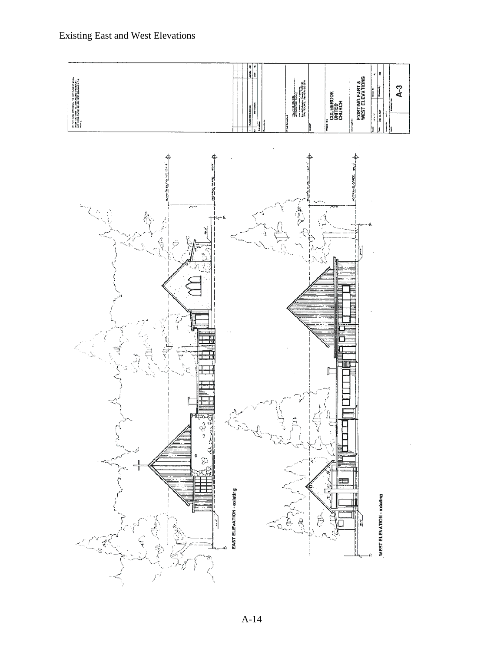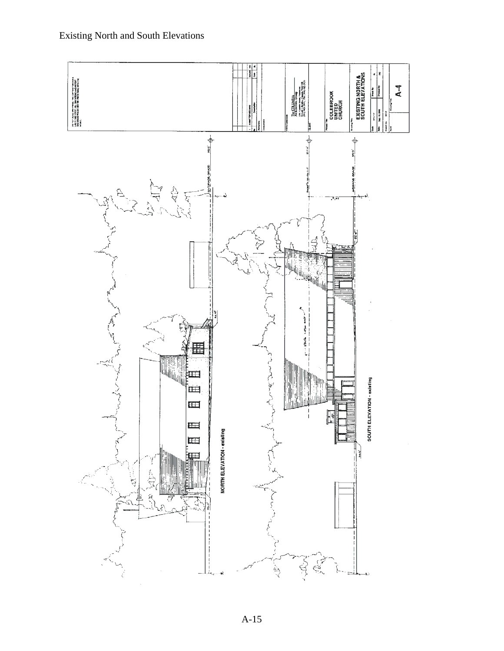

A-15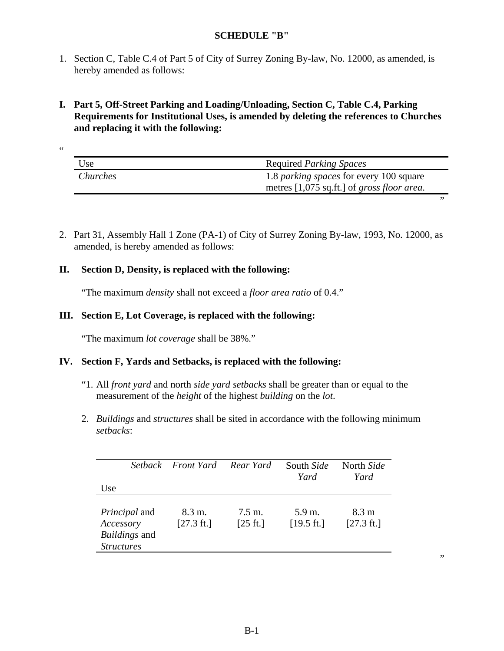## **SCHEDULE "B"**

- 1. Section C, Table C.4 of Part 5 of City of Surrey Zoning By-law, No. 12000, as amended, is hereby amended as follows:
- **I. Part 5, Off-Street Parking and Loading/Unloading, Section C, Table C.4, Parking Requirements for Institutional Uses, is amended by deleting the references to Churches and replacing it with the following:**

| Use      | <b>Required Parking Spaces</b>                                                                                 |
|----------|----------------------------------------------------------------------------------------------------------------|
| Churches | 1.8 <i>parking spaces</i> for every 100 square<br>metres $[1,075 \text{ sq.fit.}]$ of <i>gross floor area.</i> |
|          |                                                                                                                |

2. Part 31, Assembly Hall 1 Zone (PA-1) of City of Surrey Zoning By-law, 1993, No. 12000, as amended, is hereby amended as follows:

# **II. Section D, Density, is replaced with the following:**

 $\epsilon$ 

"The maximum *density* shall not exceed a *floor area ratio* of 0.4."

## **III. Section E, Lot Coverage, is replaced with the following:**

"The maximum *lot coverage* shall be 38%."

## **IV. Section F, Yards and Setbacks, is replaced with the following:**

- "1. All *front yard* and north *side yard setbacks* shall be greater than or equal to the measurement of the *height* of the highest *building* on the *lot*.
- 2. *Buildings* and *structures* shall be sited in accordance with the following minimum *setbacks*:

| Use                                                                            | Setback Front Yard Rear Yard   |                                         | South Side<br>Yard             | North Side<br>Yard                      |
|--------------------------------------------------------------------------------|--------------------------------|-----------------------------------------|--------------------------------|-----------------------------------------|
| <i>Principal</i> and<br>Accessory<br><i>Buildings</i> and<br><b>Structures</b> | 8.3 m.<br>$[27.3 \text{ ft.}]$ | $7.5 \text{ m}$ .<br>$[25 \text{ ft.}]$ | 5.9 m.<br>$[19.5 \text{ ft.}]$ | $8.3 \text{ m}$<br>$[27.3 \text{ ft.}]$ |

,,